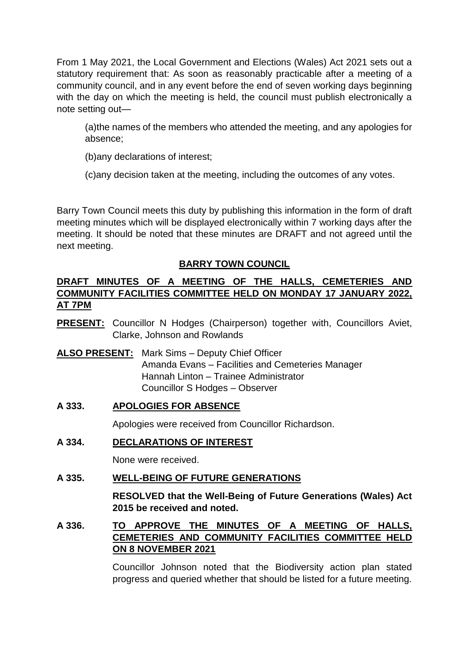From 1 May 2021, the Local Government and Elections (Wales) Act 2021 sets out a statutory requirement that: As soon as reasonably practicable after a meeting of a community council, and in any event before the end of seven working days beginning with the day on which the meeting is held, the council must publish electronically a note setting out—

(a)the names of the members who attended the meeting, and any apologies for absence;

(b)any declarations of interest;

(c)any decision taken at the meeting, including the outcomes of any votes.

Barry Town Council meets this duty by publishing this information in the form of draft meeting minutes which will be displayed electronically within 7 working days after the meeting. It should be noted that these minutes are DRAFT and not agreed until the next meeting.

# **BARRY TOWN COUNCIL**

# **DRAFT MINUTES OF A MEETING OF THE HALLS, CEMETERIES AND COMMUNITY FACILITIES COMMITTEE HELD ON MONDAY 17 JANUARY 2022, AT 7PM**

- **PRESENT:** Councillor N Hodges (Chairperson) together with, Councillors Aviet, Clarke, Johnson and Rowlands
- **ALSO PRESENT:** Mark Sims Deputy Chief Officer Amanda Evans – Facilities and Cemeteries Manager Hannah Linton – Trainee Administrator Councillor S Hodges – Observer

# **A 333. APOLOGIES FOR ABSENCE**

Apologies were received from Councillor Richardson.

# **A 334. DECLARATIONS OF INTEREST**

None were received.

# **A 335. WELL-BEING OF FUTURE GENERATIONS**

**RESOLVED that the Well-Being of Future Generations (Wales) Act 2015 be received and noted.** 

# **A 336. TO APPROVE THE MINUTES OF A MEETING OF HALLS, CEMETERIES AND COMMUNITY FACILITIES COMMITTEE HELD ON 8 NOVEMBER 2021**

Councillor Johnson noted that the Biodiversity action plan stated progress and queried whether that should be listed for a future meeting.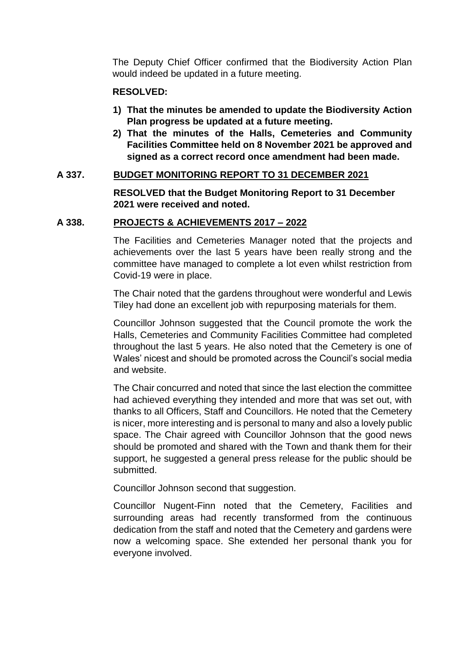The Deputy Chief Officer confirmed that the Biodiversity Action Plan would indeed be updated in a future meeting.

### **RESOLVED:**

- **1) That the minutes be amended to update the Biodiversity Action Plan progress be updated at a future meeting.**
- **2) That the minutes of the Halls, Cemeteries and Community Facilities Committee held on 8 November 2021 be approved and signed as a correct record once amendment had been made.**

# **A 337. BUDGET MONITORING REPORT TO 31 DECEMBER 2021**

**RESOLVED that the Budget Monitoring Report to 31 December 2021 were received and noted.** 

# **A 338. PROJECTS & ACHIEVEMENTS 2017 – 2022**

The Facilities and Cemeteries Manager noted that the projects and achievements over the last 5 years have been really strong and the committee have managed to complete a lot even whilst restriction from Covid-19 were in place.

The Chair noted that the gardens throughout were wonderful and Lewis Tiley had done an excellent job with repurposing materials for them.

Councillor Johnson suggested that the Council promote the work the Halls, Cemeteries and Community Facilities Committee had completed throughout the last 5 years. He also noted that the Cemetery is one of Wales' nicest and should be promoted across the Council's social media and website.

The Chair concurred and noted that since the last election the committee had achieved everything they intended and more that was set out, with thanks to all Officers, Staff and Councillors. He noted that the Cemetery is nicer, more interesting and is personal to many and also a lovely public space. The Chair agreed with Councillor Johnson that the good news should be promoted and shared with the Town and thank them for their support, he suggested a general press release for the public should be submitted.

Councillor Johnson second that suggestion.

Councillor Nugent-Finn noted that the Cemetery, Facilities and surrounding areas had recently transformed from the continuous dedication from the staff and noted that the Cemetery and gardens were now a welcoming space. She extended her personal thank you for everyone involved.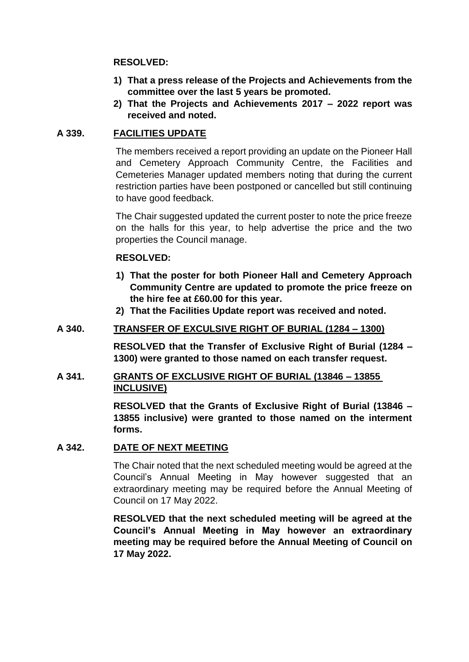### **RESOLVED:**

- **1) That a press release of the Projects and Achievements from the committee over the last 5 years be promoted.**
- **2) That the Projects and Achievements 2017 – 2022 report was received and noted.**

# **A 339. FACILITIES UPDATE**

The members received a report providing an update on the Pioneer Hall and Cemetery Approach Community Centre, the Facilities and Cemeteries Manager updated members noting that during the current restriction parties have been postponed or cancelled but still continuing to have good feedback.

The Chair suggested updated the current poster to note the price freeze on the halls for this year, to help advertise the price and the two properties the Council manage.

# **RESOLVED:**

- **1) That the poster for both Pioneer Hall and Cemetery Approach Community Centre are updated to promote the price freeze on the hire fee at £60.00 for this year.**
- **2) That the Facilities Update report was received and noted.**

### **A 340. TRANSFER OF EXCULSIVE RIGHT OF BURIAL (1284 – 1300)**

**RESOLVED that the Transfer of Exclusive Right of Burial (1284 – 1300) were granted to those named on each transfer request.** 

# **A 341. GRANTS OF EXCLUSIVE RIGHT OF BURIAL (13846 – 13855 INCLUSIVE)**

**RESOLVED that the Grants of Exclusive Right of Burial (13846 – 13855 inclusive) were granted to those named on the interment forms.** 

#### **A 342. DATE OF NEXT MEETING**

The Chair noted that the next scheduled meeting would be agreed at the Council's Annual Meeting in May however suggested that an extraordinary meeting may be required before the Annual Meeting of Council on 17 May 2022.

**RESOLVED that the next scheduled meeting will be agreed at the Council's Annual Meeting in May however an extraordinary meeting may be required before the Annual Meeting of Council on 17 May 2022.**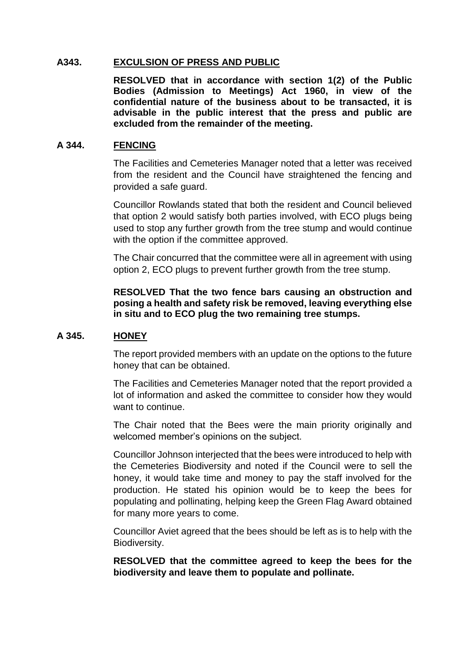#### **A343. EXCULSION OF PRESS AND PUBLIC**

**RESOLVED that in accordance with section 1(2) of the Public Bodies (Admission to Meetings) Act 1960, in view of the confidential nature of the business about to be transacted, it is advisable in the public interest that the press and public are excluded from the remainder of the meeting.**

#### **A 344. FENCING**

The Facilities and Cemeteries Manager noted that a letter was received from the resident and the Council have straightened the fencing and provided a safe guard.

Councillor Rowlands stated that both the resident and Council believed that option 2 would satisfy both parties involved, with ECO plugs being used to stop any further growth from the tree stump and would continue with the option if the committee approved.

The Chair concurred that the committee were all in agreement with using option 2, ECO plugs to prevent further growth from the tree stump.

#### **RESOLVED That the two fence bars causing an obstruction and posing a health and safety risk be removed, leaving everything else in situ and to ECO plug the two remaining tree stumps.**

#### **A 345. HONEY**

The report provided members with an update on the options to the future honey that can be obtained.

The Facilities and Cemeteries Manager noted that the report provided a lot of information and asked the committee to consider how they would want to continue.

The Chair noted that the Bees were the main priority originally and welcomed member's opinions on the subject.

Councillor Johnson interjected that the bees were introduced to help with the Cemeteries Biodiversity and noted if the Council were to sell the honey, it would take time and money to pay the staff involved for the production. He stated his opinion would be to keep the bees for populating and pollinating, helping keep the Green Flag Award obtained for many more years to come.

Councillor Aviet agreed that the bees should be left as is to help with the Biodiversity.

**RESOLVED that the committee agreed to keep the bees for the biodiversity and leave them to populate and pollinate.**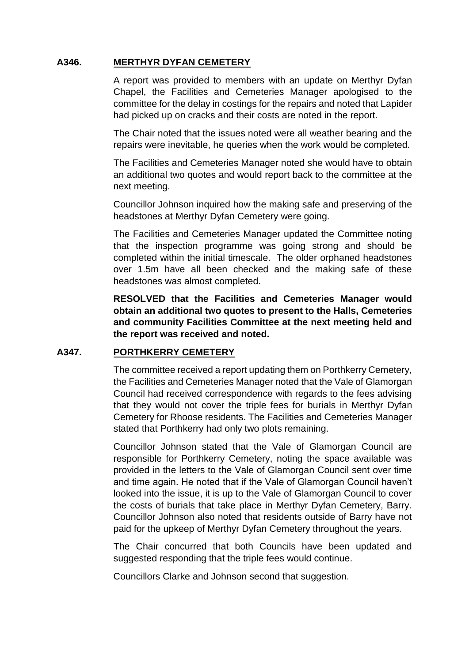# **A346. MERTHYR DYFAN CEMETERY**

A report was provided to members with an update on Merthyr Dyfan Chapel, the Facilities and Cemeteries Manager apologised to the committee for the delay in costings for the repairs and noted that Lapider had picked up on cracks and their costs are noted in the report.

The Chair noted that the issues noted were all weather bearing and the repairs were inevitable, he queries when the work would be completed.

The Facilities and Cemeteries Manager noted she would have to obtain an additional two quotes and would report back to the committee at the next meeting.

Councillor Johnson inquired how the making safe and preserving of the headstones at Merthyr Dyfan Cemetery were going.

The Facilities and Cemeteries Manager updated the Committee noting that the inspection programme was going strong and should be completed within the initial timescale. The older orphaned headstones over 1.5m have all been checked and the making safe of these headstones was almost completed.

**RESOLVED that the Facilities and Cemeteries Manager would obtain an additional two quotes to present to the Halls, Cemeteries and community Facilities Committee at the next meeting held and the report was received and noted.** 

#### **A347. PORTHKERRY CEMETERY**

The committee received a report updating them on Porthkerry Cemetery, the Facilities and Cemeteries Manager noted that the Vale of Glamorgan Council had received correspondence with regards to the fees advising that they would not cover the triple fees for burials in Merthyr Dyfan Cemetery for Rhoose residents. The Facilities and Cemeteries Manager stated that Porthkerry had only two plots remaining.

Councillor Johnson stated that the Vale of Glamorgan Council are responsible for Porthkerry Cemetery, noting the space available was provided in the letters to the Vale of Glamorgan Council sent over time and time again. He noted that if the Vale of Glamorgan Council haven't looked into the issue, it is up to the Vale of Glamorgan Council to cover the costs of burials that take place in Merthyr Dyfan Cemetery, Barry. Councillor Johnson also noted that residents outside of Barry have not paid for the upkeep of Merthyr Dyfan Cemetery throughout the years.

The Chair concurred that both Councils have been updated and suggested responding that the triple fees would continue.

Councillors Clarke and Johnson second that suggestion.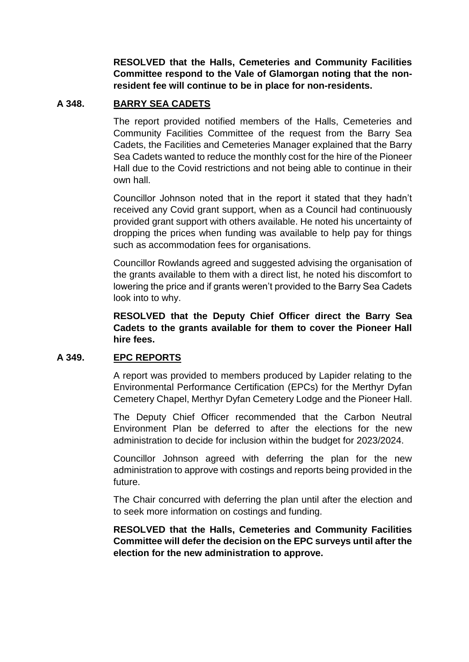**RESOLVED that the Halls, Cemeteries and Community Facilities Committee respond to the Vale of Glamorgan noting that the nonresident fee will continue to be in place for non-residents.** 

# **A 348. BARRY SEA CADETS**

The report provided notified members of the Halls, Cemeteries and Community Facilities Committee of the request from the Barry Sea Cadets, the Facilities and Cemeteries Manager explained that the Barry Sea Cadets wanted to reduce the monthly cost for the hire of the Pioneer Hall due to the Covid restrictions and not being able to continue in their own hall.

Councillor Johnson noted that in the report it stated that they hadn't received any Covid grant support, when as a Council had continuously provided grant support with others available. He noted his uncertainty of dropping the prices when funding was available to help pay for things such as accommodation fees for organisations.

Councillor Rowlands agreed and suggested advising the organisation of the grants available to them with a direct list, he noted his discomfort to lowering the price and if grants weren't provided to the Barry Sea Cadets look into to why.

**RESOLVED that the Deputy Chief Officer direct the Barry Sea Cadets to the grants available for them to cover the Pioneer Hall hire fees.** 

### **A 349. EPC REPORTS**

A report was provided to members produced by Lapider relating to the Environmental Performance Certification (EPCs) for the Merthyr Dyfan Cemetery Chapel, Merthyr Dyfan Cemetery Lodge and the Pioneer Hall.

The Deputy Chief Officer recommended that the Carbon Neutral Environment Plan be deferred to after the elections for the new administration to decide for inclusion within the budget for 2023/2024.

Councillor Johnson agreed with deferring the plan for the new administration to approve with costings and reports being provided in the future.

The Chair concurred with deferring the plan until after the election and to seek more information on costings and funding.

**RESOLVED that the Halls, Cemeteries and Community Facilities Committee will defer the decision on the EPC surveys until after the election for the new administration to approve.**